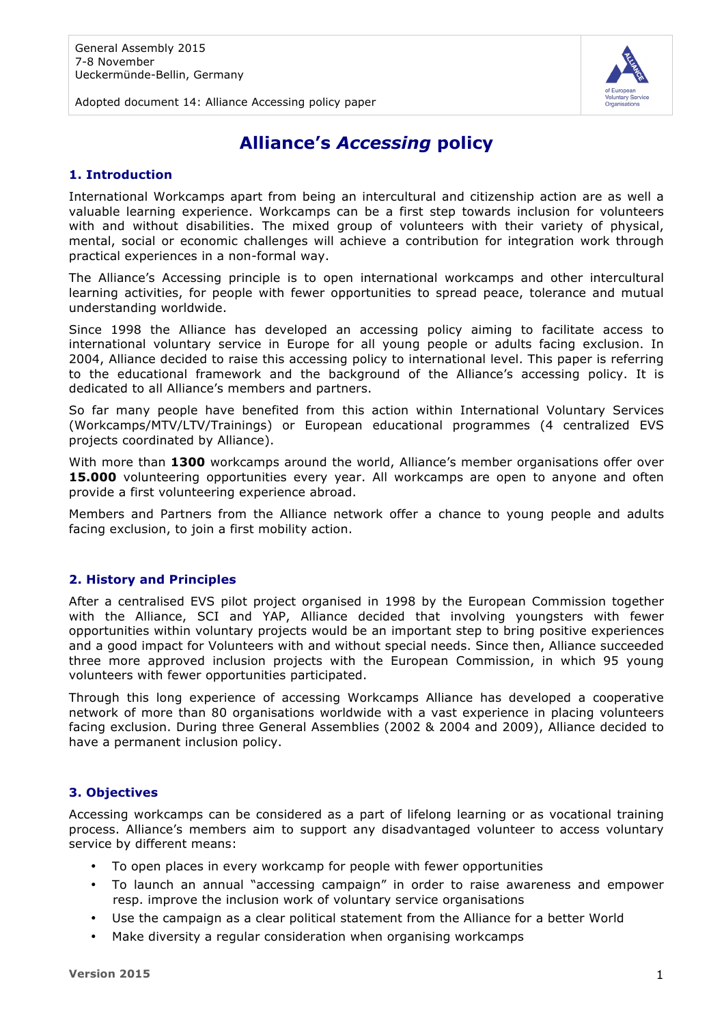

Adopted document 14: Alliance Accessing policy paper

# **Alliance's** *Accessing* **policy**

## **1. Introduction**

International Workcamps apart from being an intercultural and citizenship action are as well a valuable learning experience. Workcamps can be a first step towards inclusion for volunteers with and without disabilities. The mixed group of volunteers with their variety of physical, mental, social or economic challenges will achieve a contribution for integration work through practical experiences in a non-formal way.

The Alliance's Accessing principle is to open international workcamps and other intercultural learning activities, for people with fewer opportunities to spread peace, tolerance and mutual understanding worldwide.

Since 1998 the Alliance has developed an accessing policy aiming to facilitate access to international voluntary service in Europe for all young people or adults facing exclusion. In 2004, Alliance decided to raise this accessing policy to international level. This paper is referring to the educational framework and the background of the Alliance's accessing policy. It is dedicated to all Alliance's members and partners.

So far many people have benefited from this action within International Voluntary Services (Workcamps/MTV/LTV/Trainings) or European educational programmes (4 centralized EVS projects coordinated by Alliance).

With more than **1300** workcamps around the world, Alliance's member organisations offer over **15.000** volunteering opportunities every year. All workcamps are open to anyone and often provide a first volunteering experience abroad.

Members and Partners from the Alliance network offer a chance to young people and adults facing exclusion, to join a first mobility action.

## **2. History and Principles**

After a centralised EVS pilot project organised in 1998 by the European Commission together with the Alliance, SCI and YAP, Alliance decided that involving youngsters with fewer opportunities within voluntary projects would be an important step to bring positive experiences and a good impact for Volunteers with and without special needs. Since then, Alliance succeeded three more approved inclusion projects with the European Commission, in which 95 young volunteers with fewer opportunities participated.

Through this long experience of accessing Workcamps Alliance has developed a cooperative network of more than 80 organisations worldwide with a vast experience in placing volunteers facing exclusion. During three General Assemblies (2002 & 2004 and 2009), Alliance decided to have a permanent inclusion policy.

## **3. Objectives**

Accessing workcamps can be considered as a part of lifelong learning or as vocational training process. Alliance's members aim to support any disadvantaged volunteer to access voluntary service by different means:

- To open places in every workcamp for people with fewer opportunities
- To launch an annual "accessing campaign" in order to raise awareness and empower resp. improve the inclusion work of voluntary service organisations
- Use the campaign as a clear political statement from the Alliance for a better World
- Make diversity a regular consideration when organising workcamps